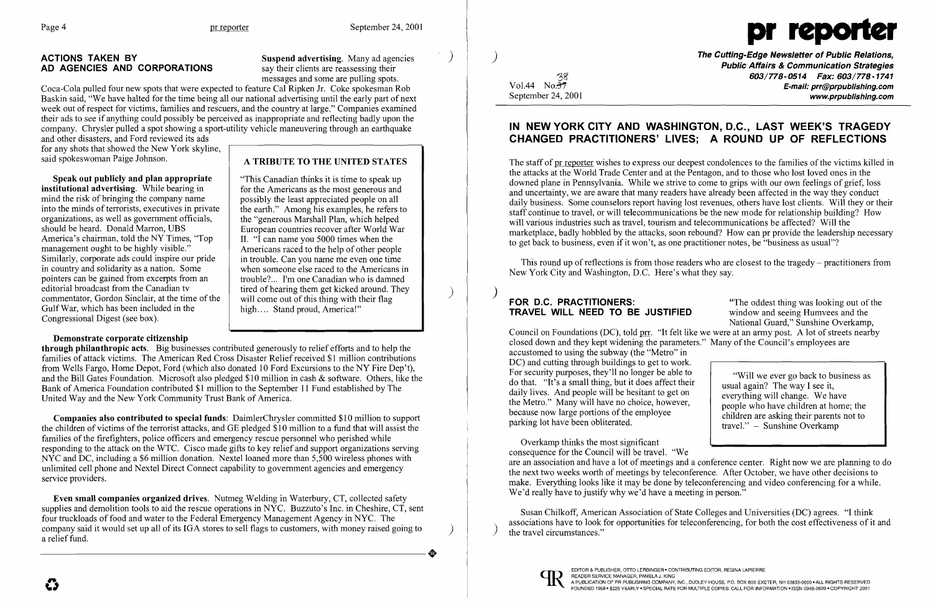# ACTIONS TAKEN BY<br>
AD AGENCIES AND CORPORATIONS say their clients are reassessing their<br>
say their clients are reassessing their

say their clients are reassessing their messages and some are pulling spots.

A TRIBUTE TO THE UNITED STATES

European countries recover after World War<br>II. "I can name you 5000 times when the

and other disasters, and Ford reviewed its ads for any shots that showed the New York skyline, said spokeswoman Paige Johnson.

Coca-Cola pulled four new spots that were expected to feature Cal Ripken Jr. Coke spokesman Rob Baskin said, "We have halted for the time being all our national advertising until the early part of next week out of respect for victims, families and rescuers, and the country at large." Companies examined their ads to see if anything could possibly be perceived as inappropriate and reflecting badly upon the company. Chrysler pulled a spot showing a sport-utility vehicle maneuvering through an earthquake

Speak out publicly and plan appropriate<br>institutional advertising. While bearing in for the Americans as the most generous and institutional advertising. While bearing in for the Americans as the most generous and mind the risk of bringing the company name mind the risk of bringing the company name<br>into the minds of terrorists, executives in private the earth." Among his examples, he refers into the minds of terrorists, executives in private <br>organizations, as well as government officials, <br>the "generous Marshall Plan, which helped organizations, as well as government officials, the "generous Marshall Plan, which helped<br>should be heard. Donald Marron, UBS European countries recover after World Wa America's chairman, told the NY Times, "Top management ought to be highly visible." management ought to be highly visible." Americans raced to the help of other people<br>Similarly, corporate ads could inspire our pride in trouble. Can you name me even one time Similarly, corporate ads could inspire our pride in trouble. Can you name me even one time<br>in country and solidarity as a nation. Some when someone else raced to the Americans i in country and solidarity as a nation. Some when someone else raced to the Americans in pointers can be gained from excerpts from an trouble?... I'm one Canadian who is damned pointers can be gained from excerpts from an trouble?... I'm one Canadian who is damned<br>editorial broadcast from the Canadian ty editorial broadcast from the Canadian tv<br>
commentator, Gordon Sinclair, at the time of the will come out of this thing with their flag Gulf War, which has been included in the high.... Stand proud, America!" Congressional Digest (see box).

) The Cutting-Edge Newsletter of Public Relations, Public Affairs & Communication Strategies 3g 603/778-0514 Fax: 603/778-1741 Vol.44 No.<del>37</del><br>September 24, 2001<br>**September 24, 2001 E-mail: prr@prpublishing.com** www.prpublishing.com

### Demonstrate corporate citizenship

through philanthropic acts. Big businesses contributed generously to relief efforts and to help the families of attack victims. The American Red Cross Disaster Relief received \$1 million contributions from Wells Fargo, Home Depot, Ford (which also donated 10 Ford Excursions to the NY Fire Dep't), and the Bill Gates Foundation. Microsoft also pledged \$10 million in cash & software. Others, like the Bank of America Foundation contributed \$1 million to the September 11 Fund established by The United Way and the New York Community Trust Bank of America.

This round up of reflections is from those readers who are closest to the tragedy – practitioners from New York City and Washington, D.C. Here's what they say.

# TRAVEL WILL NEED TO BE JUSTIFIED

Council on Foundations (DC), told prr. "It felt like we were at an army post. A lot of streets nearby closed down and they kept widening the parameters." Many of the Council's employees are accustomed to using the subway (the "Metro" in DC) and cutting through buildings to get to work. For security purposes, they'll no longer be able to "Will we ever go back to business as do that. "It's a small thing, but it does affect their usual again? The way I see it, daily lives. And people will be hesitant to get on<br>the Metro." Many will have no choice, however,<br>because now large portions of the employee<br>parking lot have been obliterated.<br>the children are asking their parents not to<br>t

**FOR D.C. PRACTITIONERS:** "The oddest thing was looking out of the **TRAVEL WILL NEED TO BE JUSTIFIED** window and seeing Humvees and the National Guard," Sunshine Overkamp,

travel." - Sunshine Overkamp

Companies also contributed to special funds: DaimlerChrysler committed \$10 million to support the children of victims of the terrorist attacks, and GE pledged \$10 million to a fund that will assist the families of the firefighters, police officers and emergency rescue personnel who perished while responding to the attack on the WTC. Cisco made gifts to key relief and support organizations serving NYC and DC, including a \$6 million donation. Nextel loaned more than 5,500 wireless phones with unlimited cell phone and Nextel Direct Connect capability to government agencies and emergency service providers.

Overkamp thinks the most significant consequence for the Council will be travel. "We are an association and have a lot of meetings and a conference center. Right now we are planning to do the next two weeks worth of meetings by teleconference. After October, we have other decisions to make. Everything looks like it may be done by teleconferencing and video conferencing for a while. We'd really have to justify why we'd have a meeting in person."

Susan Chilkoff, American Association of State Colleges and Universities (DC) agrees. "I think associations have to look for opportunities for teleconferencing, for both the cost effectiveness of it and the travel circumstances."



Even small companies organized drives. Nutmeg Welding in Waterbury, CT, collected safety supplies and demolition tools to aid the rescue operations in NYC. Buzzuto's Inc. in Cheshire, CT, sent four truckloads of food and water to the Federal Emergency Management Agency in NYC. The company said it would set up all of its IGA stores to sell flags to customers, with money raised going to a relief fund. a relief fund.



## IN NEW YORK CITY AND WASHINGTON, D.C., LAST WEEK'S TRAGEDY CHANGED PRACTITIONERS' LIVES; A ROUND UP OF REFLECTIONS

The staff of pr reporter wishes to express our deepest condolences to the families of the victims killed in the attacks at the World Trade Center and at the Pentagon, and to those who lost loved ones in the downed plane in Pennsylvania. While we strive to come to grips with our own feelings of grief, loss and uncertainty, we are aware that many readers have already been affected in the way they conduct daily business. Some counselors report having lost revenues, others have lost clients. Will they or their staff continue to travel, or will telecommunications be the new mode for relationship building? How will various industries such as travel, tourism and telecommunications be affected? Will the marketplace, badly hobbled by the attacks, soon rebound? How can pr provide the leadership necessary to get back to business, even if it won't, as one practitioner notes, be "business as usual"?